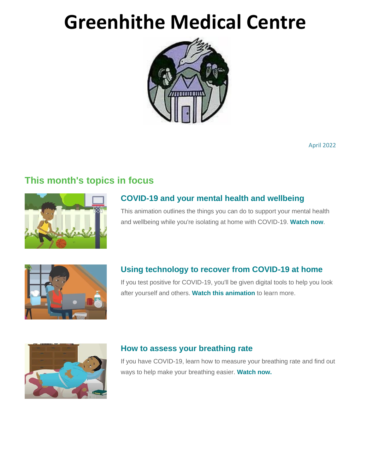# **Greenhithe Medical Centre**



April 2022

# **This month's topics in focus**



# **[COVID-19 and your mental health and wellbeing](https://www.healthnavigator.org.nz/health-a-z/c/covid-19-positive-mental-wellbeing/)**

This animation outlines the things you can do to support your mental health and wellbeing while you're isolating at home with COVID-19. **[Watch now](https://www.healthnavigator.org.nz/health-a-z/c/covid-19-positive-mental-wellbeing/)**.



### **[Using technology to recover from COVID-19 at home](https://www.healthnavigator.org.nz/videos/c/covid-in-the-community-aotearoa-e-te-toa-video-series/)**

If you test positive for COVID-19, you'll be given digital tools to help you look after yourself and others. **[Watch this animation](https://www.healthnavigator.org.nz/videos/c/covid-in-the-community-aotearoa-e-te-toa-video-series/)** to learn more.



#### **[How to assess your breathing rate](https://www.healthnavigator.org.nz/health-a-z/c/covid-19-positive-breathing-positions-and-managing-breathlessness/)**

If you have COVID-19, learn how to measure your breathing rate and find out ways to help make your breathing easier. **[Watch now.](https://www.healthnavigator.org.nz/health-a-z/c/covid-19-positive-breathing-positions-and-managing-breathlessness/)**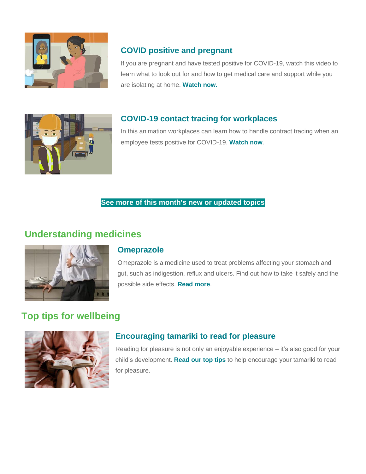

# **[COVID positive and pregnant](https://www.healthnavigator.org.nz/health-a-z/c/covid-19-positive-self-isolating-when-you-are-pregnant/)**

If you are pregnant and have tested positive for COVID-19, watch this video to learn what to look out for and how to get medical care and support while you are isolating at home. **[Watch now.](https://www.healthnavigator.org.nz/health-a-z/c/covid-19-positive-self-isolating-when-you-are-pregnant/)**



### **[COVID-19 contact tracing for workplaces](https://www.healthnavigator.org.nz/videos/c/covid-in-the-community-aotearoa-e-te-toa-video-series/)**

In this animation workplaces can learn how to handle contract tracing when an employee tests positive for COVID-19. **[Watch now](https://www.healthnavigator.org.nz/videos/c/covid-in-the-community-aotearoa-e-te-toa-video-series/)**.

#### **[See more of this month's](https://www.healthnavigator.org.nz/health-a-z/w/whats-new/) [new or updated topics](https://www.healthnavigator.org.nz/health-a-z/w/whats-new/)**

# **Understanding medicines**



#### **[Omeprazole](https://www.healthnavigator.org.nz/medicines/o/omeprazole/)**

Omeprazole is a medicine used to treat problems affecting your stomach and gut, such as indigestion, reflux and ulcers. Find out how to take it safely and the possible side effects. **[Read more](https://www.healthnavigator.org.nz/medicines/o/omeprazole/)**.

# **Top tips for wellbeing**



### **[Encouraging tamariki to read for pleasure](https://www.healthnavigator.org.nz/healthy-living/r/reading-for-pleasure-encouraging-children/)**

Reading for pleasure is not only an enjoyable experience – it's also good for your child's development. **[Read our top tips](https://www.healthnavigator.org.nz/healthy-living/r/reading-for-pleasure-encouraging-children/)** to help encourage your tamariki to read for pleasure.